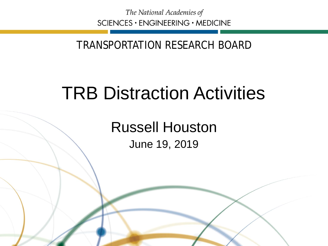The National Academies of SCIENCES · ENGINEERING · MEDICINE

## TRANSPORTATION RESEARCH BOARD

## TRB Distraction Activities

Russell Houston June 19, 2019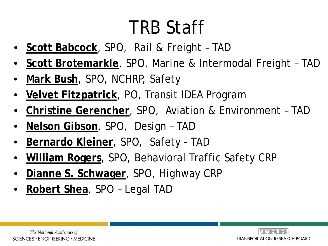# TRB Staff

- **Scott Babcock**, SPO, Rail & Freight TAD
- **Scott Brotemarkle**, SPO, Marine & Intermodal Freight TAD
- **Mark Bush**, SPO, NCHRP, Safety
- **Velvet Fitzpatrick**, PO, Transit IDEA Program
- **Christine Gerencher**, SPO, Aviation & Environment TAD
- **Nelson Gibson**, SPO, Design TAD
- **Bernardo Kleiner**, SPO, Safety TAD
- **William Rogers**, SPO, Behavioral Traffic Safety CRP
- **Dianne S. Schwager**, SPO, Highway CRP
- **Robert Shea**, SPO Legal TAD

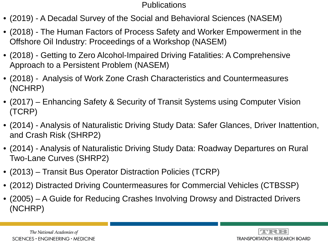#### **Publications**

- (2019) A Decadal Survey of the Social and Behavioral Sciences (NASEM)
- (2018) The Human Factors of Process Safety and Worker Empowerment in the Offshore Oil Industry: Proceedings of a Workshop (NASEM)
- (2018) Getting to Zero Alcohol-Impaired Driving Fatalities: A Comprehensive Approach to a Persistent Problem (NASEM)
- (2018) Analysis of Work Zone Crash Characteristics and Countermeasures (NCHRP)
- (2017) Enhancing Safety & Security of Transit Systems using Computer Vision (TCRP)
- (2014) Analysis of Naturalistic Driving Study Data: Safer Glances, Driver Inattention, and Crash Risk (SHRP2)
- (2014) Analysis of Naturalistic Driving Study Data: Roadway Departures on Rural Two-Lane Curves (SHRP2)
- (2013) Transit Bus Operator Distraction Policies (TCRP)
- (2012) Distracted Driving Countermeasures for Commercial Vehicles (CTBSSP)
- (2005) A Guide for Reducing Crashes Involving Drowsy and Distracted Drivers (NCHRP)

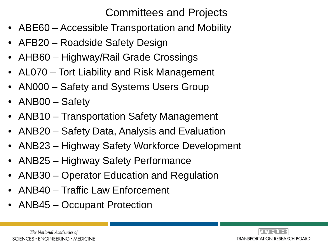### Committees and Projects

- ABE60 Accessible Transportation and Mobility
- AFB20 Roadside Safety Design
- AHB60 Highway/Rail Grade Crossings
- AL070 Tort Liability and Risk Management
- AN000 Safety and Systems Users Group
- ANB00 Safety
- ANB10 Transportation Safety Management
- ANB20 Safety Data, Analysis and Evaluation
- ANB23 Highway Safety Workforce Development
- ANB25 Highway Safety Performance
- ANB30 Operator Education and Regulation
- ANB40 Traffic Law Enforcement
- ANB45 Occupant Protection

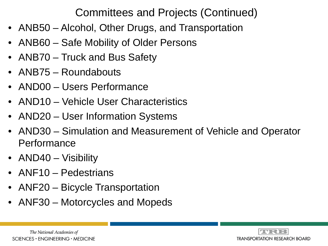### Committees and Projects (Continued)

- ANB50 Alcohol, Other Drugs, and Transportation
- ANB60 Safe Mobility of Older Persons
- ANB70 Truck and Bus Safety
- ANB75 Roundabouts
- AND00 Users Performance
- AND10 Vehicle User Characteristics
- AND20 User Information Systems
- AND30 Simulation and Measurement of Vehicle and Operator Performance
- AND40 Visibility
- ANF10 Pedestrians
- ANF20 Bicycle Transportation
- ANF30 Motorcycles and Mopeds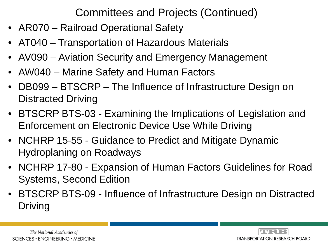Committees and Projects (Continued)

- AR070 Railroad Operational Safety
- AT040 Transportation of Hazardous Materials
- AV090 Aviation Security and Emergency Management
- AW040 Marine Safety and Human Factors
- DB099 BTSCRP The Influence of Infrastructure Design on Distracted Driving
- BTSCRP BTS-03 Examining the Implications of Legislation and Enforcement on Electronic Device Use While Driving
- NCHRP 15-55 Guidance to Predict and Mitigate Dynamic Hydroplaning on Roadways
- NCHRP 17-80 Expansion of Human Factors Guidelines for Road Systems, Second Edition
- BTSCRP BTS-09 Influence of Infrastructure Design on Distracted Driving